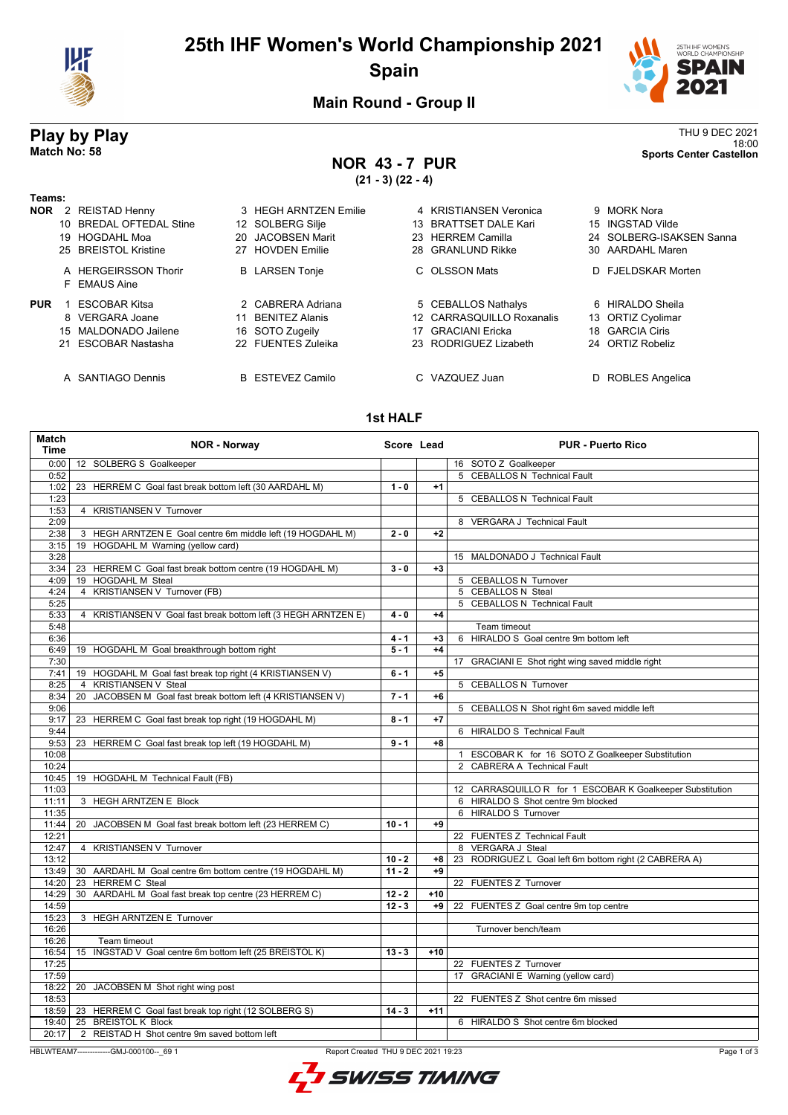

# **25th IHF Women's World Championship 2021 Spain**



18:00 **Match No: 58 Sports Center Castellon**

## **Main Round - Group II**

# **Play by Play**<br>Match No: 58<br>Sports Center Castellon

**NOR 43 - 7 PUR**

**(21 - 3) (22 - 4)**

| Teams:     |                                      |                         |                           |                          |  |
|------------|--------------------------------------|-------------------------|---------------------------|--------------------------|--|
| <b>NOR</b> | 2 REISTAD Henny                      | 3 HEGH ARNTZEN Emilie   | 4 KRISTIANSEN Veronica    | 9 MORK Nora              |  |
|            | 10 BREDAL OFTEDAL Stine              | 12 SOLBERG Silje        | 13 BRATTSET DALE Kari     | 15 INGSTAD Vilde         |  |
|            | 19 HOGDAHL Moa                       | 20 JACOBSEN Marit       | 23 HERREM Camilla         | 24 SOLBERG-ISAKSEN Sanna |  |
|            | 25 BREISTOL Kristine                 | 27 HOVDEN Emilie        | 28 GRANLUND Rikke         | 30 AARDAHL Maren         |  |
|            | A HERGEIRSSON Thorir<br>F EMAUS Aine | <b>B</b> LARSEN Tonje   | C OLSSON Mats             | D FJELDSKAR Morten       |  |
| <b>PUR</b> | <b>ESCOBAR Kitsa</b>                 | 2 CABRERA Adriana       | 5 CEBALLOS Nathalys       | 6 HIRALDO Sheila         |  |
|            | 8 VERGARA Joane                      | 11 BENITEZ Alanis       | 12 CARRASQUILLO Roxanalis | 13 ORTIZ Cyolimar        |  |
|            | 15 MALDONADO Jailene                 | 16 SOTO Zugeily         | 17 GRACIANI Ericka        | 18 GARCIA Ciris          |  |
|            | 21 ESCOBAR Nastasha                  | 22 FUENTES Zuleika      | 23 RODRIGUEZ Lizabeth     | 24 ORTIZ Robeliz         |  |
|            | A SANTIAGO Dennis                    | <b>B</b> ESTEVEZ Camilo | C VAZQUEZ Juan            | D ROBLES Angelica        |  |

### **1st HALF**

| <b>Match</b><br>Time | <b>NOR - Norway</b>                                                                            | Score Lead |       | <b>PUR - Puerto Rico</b>                                  |  |
|----------------------|------------------------------------------------------------------------------------------------|------------|-------|-----------------------------------------------------------|--|
|                      | 0:00   12 SOLBERG S Goalkeeper                                                                 |            |       | 16 SOTO Z Goalkeeper                                      |  |
| 0:52                 |                                                                                                |            |       | 5 CEBALLOS N Technical Fault                              |  |
| 1:02                 | 23 HERREM C Goal fast break bottom left (30 AARDAHL M)                                         | $1 - 0$    | $+1$  |                                                           |  |
| 1:23                 |                                                                                                |            |       | 5 CEBALLOS N Technical Fault                              |  |
| 1:53                 | 4 KRISTIANSEN V Turnover                                                                       |            |       |                                                           |  |
| 2:09                 |                                                                                                |            |       | 8 VERGARA J Technical Fault                               |  |
| 2:38                 | 3 HEGH ARNTZEN E Goal centre 6m middle left (19 HOGDAHL M)                                     | $2 - 0$    | $+2$  |                                                           |  |
| 3:15                 | 19 HOGDAHL M Warning (yellow card)                                                             |            |       |                                                           |  |
| 3:28                 |                                                                                                |            |       | 15 MALDONADO J Technical Fault                            |  |
| 3:34                 | 23 HERREM C Goal fast break bottom centre (19 HOGDAHL M)                                       | $3 - 0$    | $+3$  |                                                           |  |
| 4:09                 | 19 HOGDAHL M Steal                                                                             |            |       | 5 CEBALLOS N Turnover                                     |  |
| 4:24                 | 4 KRISTIANSEN V Turnover (FB)                                                                  |            |       | 5 CEBALLOS N Steal                                        |  |
| 5:25                 |                                                                                                |            |       | 5 CEBALLOS N Technical Fault                              |  |
| 5:33                 | 4 KRISTIANSEN V Goal fast break bottom left (3 HEGH ARNTZEN E)                                 | $4 - 0$    | $+4$  |                                                           |  |
| 5:48                 |                                                                                                |            |       | Team timeout                                              |  |
| 6:36                 |                                                                                                | $4 - 1$    | $+3$  | 6 HIRALDO S Goal centre 9m bottom left                    |  |
| 6:49                 | 19 HOGDAHL M Goal breakthrough bottom right                                                    | $5 - 1$    | $+4$  |                                                           |  |
| 7:30                 |                                                                                                |            |       | 17 GRACIANI E Shot right wing saved middle right          |  |
| 7:41                 | 19 HOGDAHL M Goal fast break top right (4 KRISTIANSEN V)                                       | $6 - 1$    | $+5$  |                                                           |  |
| 8:25                 | <b>KRISTIANSEN V Steal</b><br>4                                                                |            |       | 5 CEBALLOS N Turnover                                     |  |
| 8:34                 | JACOBSEN M Goal fast break bottom left (4 KRISTIANSEN V)<br>20                                 | $7 - 1$    | $+6$  |                                                           |  |
| 9:06                 |                                                                                                |            |       | 5 CEBALLOS N Shot right 6m saved middle left              |  |
| 9:17                 | 23 HERREM C Goal fast break top right (19 HOGDAHL M)                                           | $8 - 1$    | $+7$  |                                                           |  |
| 9:44                 |                                                                                                |            |       | 6 HIRALDO S Technical Fault                               |  |
| 9:53                 | 23 HERREM C Goal fast break top left (19 HOGDAHL M)                                            | $9 - 1$    | $+8$  |                                                           |  |
| 10:08                |                                                                                                |            |       | 1 ESCOBAR K for 16 SOTO Z Goalkeeper Substitution         |  |
| 10:24                |                                                                                                |            |       | 2 CABRERA A Technical Fault                               |  |
| 10:45                | 19 HOGDAHL M Technical Fault (FB)                                                              |            |       |                                                           |  |
| 11:03                |                                                                                                |            |       | 12 CARRASQUILLO R for 1 ESCOBAR K Goalkeeper Substitution |  |
| 11:11                | 3 HEGH ARNTZEN E Block                                                                         |            |       | 6 HIRALDO S Shot centre 9m blocked                        |  |
| 11:35                |                                                                                                |            |       | 6 HIRALDO S Turnover                                      |  |
| 11:44                | 20 JACOBSEN M Goal fast break bottom left (23 HERREM C)                                        | $10 - 1$   | $+9$  |                                                           |  |
| 12:21                |                                                                                                |            |       | 22 FUENTES Z Technical Fault                              |  |
| 12:47                | 4 KRISTIANSEN V Turnover                                                                       |            |       | 8 VERGARA J Steal                                         |  |
| 13:12                |                                                                                                | $10 - 2$   | +8    | 23 RODRIGUEZ L Goal left 6m bottom right (2 CABRERA A)    |  |
| 13:49                | 30 AARDAHL M Goal centre 6m bottom centre (19 HOGDAHL M)                                       | $11 - 2$   | $+9$  |                                                           |  |
| 14:20                | 23 HERREM C Steal                                                                              |            |       | 22 FUENTES Z Turnover                                     |  |
| 14:29                | 30 AARDAHL M Goal fast break top centre (23 HERREM C)                                          | $12 - 2$   | $+10$ |                                                           |  |
| 14:59                |                                                                                                | $12 - 3$   | +9    | 22 FUENTES Z Goal centre 9m top centre                    |  |
| 15:23                | 3 HEGH ARNTZEN E Turnover                                                                      |            |       |                                                           |  |
| 16:26                |                                                                                                |            |       | Turnover bench/team                                       |  |
| 16:26                | Team timeout                                                                                   |            |       |                                                           |  |
| 16:54                | 15 INGSTAD V Goal centre 6m bottom left (25 BREISTOL K)                                        | $13 - 3$   | $+10$ |                                                           |  |
| 17:25                |                                                                                                |            |       | 22 FUENTES Z Turnover                                     |  |
| 17:59                |                                                                                                |            |       | 17 GRACIANI E Warning (yellow card)                       |  |
| 18:22                | 20 JACOBSEN M Shot right wing post                                                             |            |       |                                                           |  |
| 18:53                |                                                                                                |            |       | 22 FUENTES Z Shot centre 6m missed                        |  |
|                      | 18:59   23 HERREM C Goal fast break top right (12 SOLBERG S)                                   | $14 - 3$   | $+11$ |                                                           |  |
| 19:40                | 25 BREISTOL K Block                                                                            |            |       | 6 HIRALDO S Shot centre 6m blocked                        |  |
| 20:17                | 2 REISTAD H Shot centre 9m saved bottom left                                                   |            |       |                                                           |  |
|                      |                                                                                                |            |       |                                                           |  |
|                      | Report Created THU 9 DEC 2021 19:23<br>Page 1 of 3<br>HBLWTEAM7--------------GMJ-000100-- 69 1 |            |       |                                                           |  |

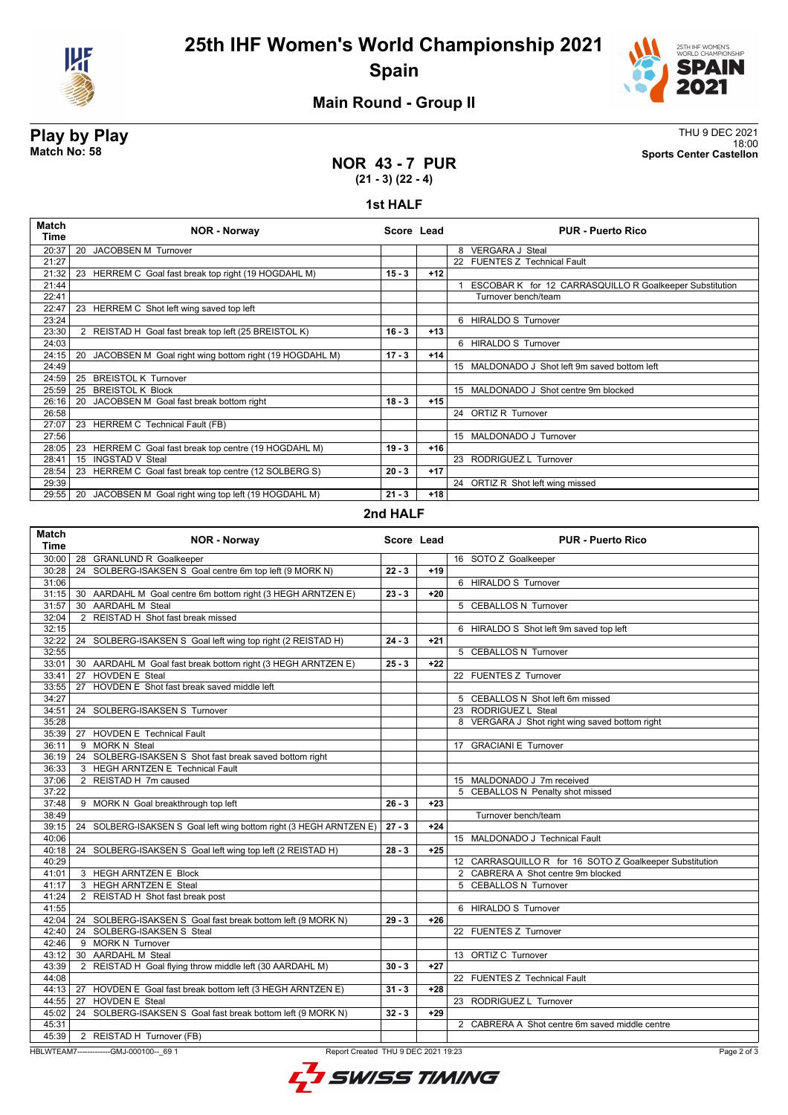



## **Main Round - Group II**

**NOR 43 - 7 PUR**

**Play by Play**<br>Match No: 58<br>Sports Center Castellon 18:00 **Match No: 58 Sports Center Castellon**

# **(21 - 3) (22 - 4)**

### **1st HALF**

| Match<br>Time | <b>NOR - Norway</b>                                          | Score Lead |       | <b>PUR - Puerto Rico</b>                                |
|---------------|--------------------------------------------------------------|------------|-------|---------------------------------------------------------|
| 20:37         | <b>JACOBSEN M Turnover</b><br>20                             |            |       | 8 VERGARA J Steal                                       |
| 21:27         |                                                              |            |       | 22 FUENTES Z Technical Fault                            |
| 21:32         | HERREM C Goal fast break top right (19 HOGDAHL M)<br>23      | $15 - 3$   | $+12$ |                                                         |
| 21:44         |                                                              |            |       | ESCOBAR K for 12 CARRASQUILLO R Goalkeeper Substitution |
| 22:41         |                                                              |            |       | Turnover bench/team                                     |
| 22:47         | HERREM C Shot left wing saved top left<br>23                 |            |       |                                                         |
| 23:24         |                                                              |            |       | 6 HIRALDO S Turnover                                    |
| 23:30         | 2 REISTAD H Goal fast break top left (25 BREISTOL K)         | $16 - 3$   | $+13$ |                                                         |
| 24:03         |                                                              |            |       | 6 HIRALDO S Turnover                                    |
| 24:15         | JACOBSEN M Goal right wing bottom right (19 HOGDAHL M)<br>20 | $17 - 3$   | $+14$ |                                                         |
| 24:49         |                                                              |            |       | 15 MALDONADO J Shot left 9m saved bottom left           |
| 24:59         | <b>BREISTOL K Turnover</b><br>25                             |            |       |                                                         |
| 25:59         | <b>BREISTOL K Block</b><br>25                                |            |       | 15 MALDONADO J Shot centre 9m blocked                   |
| 26:16         | JACOBSEN M Goal fast break bottom right<br>20                | $18 - 3$   | $+15$ |                                                         |
| 26:58         |                                                              |            |       | 24 ORTIZ R Turnover                                     |
| 27:07         | 23 HERREM C Technical Fault (FB)                             |            |       |                                                         |
| 27:56         |                                                              |            |       | 15 MALDONADO J Turnover                                 |
| 28:05         | HERREM C Goal fast break top centre (19 HOGDAHL M)<br>23     | $19 - 3$   | $+16$ |                                                         |
| 28:41         | <b>INGSTAD V Steal</b><br>15                                 |            |       | 23 RODRIGUEZ L Turnover                                 |
| 28:54         | HERREM C Goal fast break top centre (12 SOLBERG S)<br>23     | $20 - 3$   | $+17$ |                                                         |
| 29:39         |                                                              |            |       | 24 ORTIZ R Shot left wing missed                        |
| 29:55         | JACOBSEN M Goal right wing top left (19 HOGDAHL M)<br>20     | $21 - 3$   | $+18$ |                                                         |
|               |                                                              |            |       |                                                         |

### **2nd HALF**

| <b>Match</b><br><b>Time</b> | <b>NOR - Norway</b>                                                 | Score Lead |       | <b>PUR - Puerto Rico</b>                                |
|-----------------------------|---------------------------------------------------------------------|------------|-------|---------------------------------------------------------|
| 30:00                       | 28 GRANLUND R Goalkeeper                                            |            |       | 16 SOTO Z Goalkeeper                                    |
| 30:28                       | 24 SOLBERG-ISAKSEN S Goal centre 6m top left (9 MORK N)             | $22 - 3$   | $+19$ |                                                         |
| 31:06                       |                                                                     |            |       | 6 HIRALDO S Turnover                                    |
| 31:15                       | 30 AARDAHL M Goal centre 6m bottom right (3 HEGH ARNTZEN E)         | $23 - 3$   | $+20$ |                                                         |
| 31:57                       | 30 AARDAHL M Steal                                                  |            |       | 5 CEBALLOS N Turnover                                   |
| 32:04                       | 2 REISTAD H Shot fast break missed                                  |            |       |                                                         |
| 32:15                       |                                                                     |            |       | 6 HIRALDO S Shot left 9m saved top left                 |
| 32:22                       | 24 SOLBERG-ISAKSEN S Goal left wing top right (2 REISTAD H)         | $24 - 3$   | $+21$ |                                                         |
| 32:55                       |                                                                     |            |       | 5 CEBALLOS N Turnover                                   |
| 33:01                       | 30 AARDAHL M Goal fast break bottom right (3 HEGH ARNTZEN E)        | $25 - 3$   | $+22$ |                                                         |
| 33:41                       | 27 HOVDEN E Steal                                                   |            |       | 22 FUENTES Z Turnover                                   |
| 33:55                       | 27 HOVDEN E Shot fast break saved middle left                       |            |       |                                                         |
| 34:27                       |                                                                     |            |       | 5 CEBALLOS N Shot left 6m missed                        |
| 34:51                       | 24 SOLBERG-ISAKSEN S Turnover                                       |            |       | 23 RODRIGUEZ L Steal                                    |
| 35:28                       |                                                                     |            |       | 8 VERGARA J Shot right wing saved bottom right          |
|                             | 35:39   27 HOVDEN E Technical Fault                                 |            |       |                                                         |
| 36:11                       | 9 MORK N Steal                                                      |            |       | 17 GRACIANI E Turnover                                  |
| 36:19                       | 24 SOLBERG-ISAKSEN S Shot fast break saved bottom right             |            |       |                                                         |
| 36:33                       | 3 HEGH ARNTZEN E Technical Fault                                    |            |       |                                                         |
| 37:06                       | 2 REISTAD H 7m caused                                               |            |       | 15 MALDONADO J 7m received                              |
| 37:22                       |                                                                     |            |       | 5 CEBALLOS N Penalty shot missed                        |
| 37:48                       | 9 MORK N Goal breakthrough top left                                 | $26 - 3$   | $+23$ |                                                         |
| 38:49                       |                                                                     |            |       | Turnover bench/team                                     |
| 39:15                       | 24 SOLBERG-ISAKSEN S Goal left wing bottom right (3 HEGH ARNTZEN E) | $27 - 3$   | $+24$ |                                                         |
| 40:06                       |                                                                     |            |       | 15 MALDONADO J Technical Fault                          |
| 40:18                       | 24 SOLBERG-ISAKSEN S Goal left wing top left (2 REISTAD H)          | $28 - 3$   | $+25$ |                                                         |
| 40:29                       |                                                                     |            |       | 12 CARRASQUILLO R for 16 SOTO Z Goalkeeper Substitution |
| 41:01                       | 3 HEGH ARNTZEN E Block                                              |            |       | 2 CABRERA A Shot centre 9m blocked                      |
| 41:17                       | 3 HEGH ARNTZEN E Steal                                              |            |       | 5 CEBALLOS N Turnover                                   |
| 41:24                       | 2 REISTAD H Shot fast break post                                    |            |       |                                                         |
| 41:55                       |                                                                     |            |       | 6 HIRALDO S Turnover                                    |
| 42:04                       | 24 SOLBERG-ISAKSEN S Goal fast break bottom left (9 MORK N)         | $29 - 3$   | $+26$ |                                                         |
| 42:40                       | 24 SOLBERG-ISAKSEN S Steal                                          |            |       | 22 FUENTES Z Turnover                                   |
| 42:46                       | 9 MORK N Turnover                                                   |            |       |                                                         |
| 43:12                       | 30 AARDAHL M Steal                                                  |            |       | 13 ORTIZ C Turnover                                     |
| 43:39                       | 2 REISTAD H Goal flying throw middle left (30 AARDAHL M)            | $30 - 3$   | $+27$ |                                                         |
| 44:08                       |                                                                     |            |       | 22 FUENTES Z Technical Fault                            |
|                             | 44:13   27 HOVDEN E Goal fast break bottom left (3 HEGH ARNTZEN E)  | $31 - 3$   | $+28$ |                                                         |
| 44:55                       | 27 HOVDEN E Steal                                                   |            |       | 23 RODRIGUEZ L Turnover                                 |
| 45:02                       | 24 SOLBERG-ISAKSEN S Goal fast break bottom left (9 MORK N)         | $32 - 3$   | $+29$ |                                                         |
| 45:31                       |                                                                     |            |       | 2 CABRERA A Shot centre 6m saved middle centre          |
| 45:39                       | 2 REISTAD H Turnover (FB)                                           |            |       |                                                         |

HBLWTEAM7--------------GMJ-000100--\_69 1 Report Created THU 9 DEC 2021 19:23